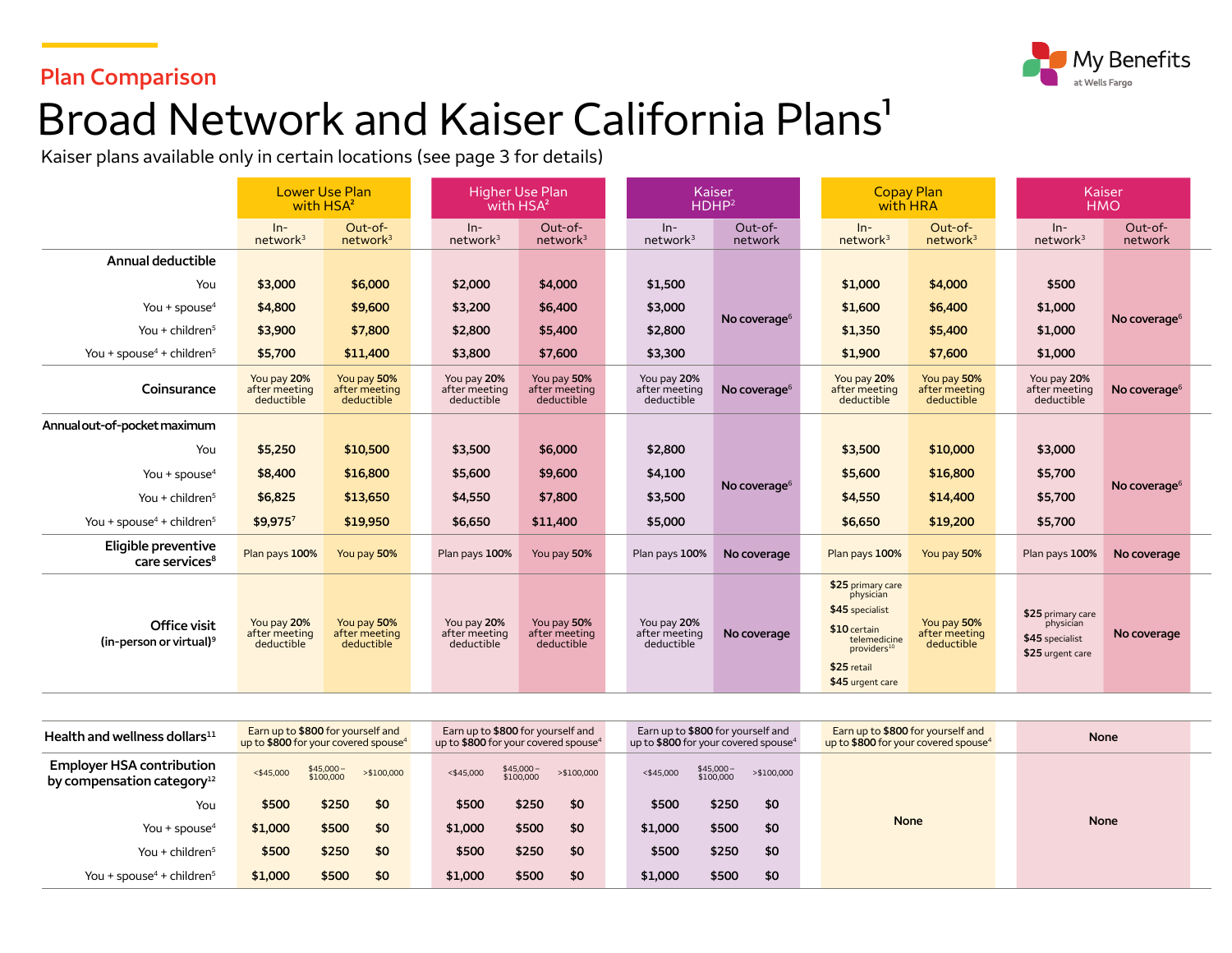#### **Plan Comparison**



# Broad Network and Kaiser California Plans<sup>1</sup>

Kaiser plans available only in certain locations (see page 3 for details)

|                                                     | <b>Lower Use Plan</b><br>with HSA <sup>2</sup> |                                            |  | <b>Higher Use Plan</b><br>with HSA <sup>2</sup> |                                            | Kaiser<br>HDHP <sup>2</sup>                |                          |  | <b>Copay Plan</b><br>with HRA                                                                                                                   |                                            |  |                                                                       | Kaiser<br><b>HMO</b>     |  |
|-----------------------------------------------------|------------------------------------------------|--------------------------------------------|--|-------------------------------------------------|--------------------------------------------|--------------------------------------------|--------------------------|--|-------------------------------------------------------------------------------------------------------------------------------------------------|--------------------------------------------|--|-----------------------------------------------------------------------|--------------------------|--|
|                                                     | $ln-$<br>network <sup>3</sup>                  | Out-of-<br>network <sup>3</sup>            |  | $In-$<br>network <sup>3</sup>                   | Out-of-<br>network <sup>3</sup>            | $ln-$<br>network <sup>3</sup>              | Out-of-<br>network       |  | $In-$<br>network <sup>3</sup>                                                                                                                   | Out-of-<br>network <sup>3</sup>            |  | $ln-$<br>network <sup>3</sup>                                         | Out-of-<br>network       |  |
| Annual deductible                                   |                                                |                                            |  |                                                 |                                            |                                            |                          |  |                                                                                                                                                 |                                            |  |                                                                       |                          |  |
| You                                                 | \$3,000                                        | \$6,000                                    |  | \$2,000                                         | \$4,000                                    | \$1,500                                    |                          |  | \$1,000                                                                                                                                         | \$4,000                                    |  | \$500                                                                 |                          |  |
| You + spouse $4$                                    | \$4,800                                        | \$9,600                                    |  | \$3,200                                         | \$6,400                                    | \$3,000                                    | No coverage $6$          |  | \$1,600                                                                                                                                         | \$6,400                                    |  | \$1,000                                                               | No coverage <sup>6</sup> |  |
| You + children <sup>5</sup>                         | \$3,900                                        | \$7,800                                    |  | \$2,800                                         | \$5,400                                    | \$2,800                                    |                          |  | \$1,350                                                                                                                                         | \$5,400                                    |  | \$1,000                                                               |                          |  |
| You + spouse <sup>4</sup> + children <sup>5</sup>   | \$5,700                                        | \$11,400                                   |  | \$3,800                                         | \$7,600                                    | \$3,300                                    |                          |  | \$1,900                                                                                                                                         | \$7,600                                    |  | \$1,000                                                               |                          |  |
| Coinsurance                                         | You pay 20%<br>after meeting<br>deductible     | You pay 50%<br>after meeting<br>deductible |  | You pay 20%<br>after meeting<br>deductible      | You pay 50%<br>after meeting<br>deductible | You pay 20%<br>after meeting<br>deductible | No coverage <sup>6</sup> |  | You pay 20%<br>after meeting<br>deductible                                                                                                      | You pay 50%<br>after meeting<br>deductible |  | You pay 20%<br>after meeting<br>deductible                            | No coverage <sup>6</sup> |  |
| Annual out-of-pocket maximum                        |                                                |                                            |  |                                                 |                                            |                                            |                          |  |                                                                                                                                                 |                                            |  |                                                                       |                          |  |
| You                                                 | \$5,250                                        | \$10,500                                   |  | \$3,500                                         | \$6,000                                    | \$2,800                                    |                          |  | \$3,500                                                                                                                                         | \$10,000                                   |  | \$3,000                                                               |                          |  |
| You + spouse $4$                                    | \$8,400                                        | \$16,800                                   |  | \$5,600                                         | \$9,600                                    | \$4,100                                    |                          |  | \$5,600                                                                                                                                         | \$16,800                                   |  | \$5,700                                                               |                          |  |
| You + children <sup>5</sup>                         | \$6,825                                        | \$13,650                                   |  | \$4,550                                         | \$7,800                                    | \$3,500                                    | No coverage $6$          |  | \$4,550                                                                                                                                         | \$14,400                                   |  | \$5,700                                                               | No coverage <sup>6</sup> |  |
| You + spouse <sup>4</sup> + children <sup>5</sup>   | \$9,9757                                       | \$19,950                                   |  | \$6,650                                         | \$11,400                                   | \$5,000                                    |                          |  | \$6,650                                                                                                                                         | \$19,200                                   |  | \$5,700                                                               |                          |  |
| Eligible preventive<br>care services <sup>8</sup>   | Plan pays 100%                                 | You pay 50%                                |  | Plan pays 100%                                  | You pay 50%                                | Plan pays 100%                             | No coverage              |  | Plan pays 100%                                                                                                                                  | You pay 50%                                |  | Plan pays 100%                                                        | No coverage              |  |
| Office visit<br>(in-person or virtual) <sup>9</sup> | You pay 20%<br>after meeting<br>deductible     | You pay 50%<br>after meeting<br>deductible |  | You pay 20%<br>after meeting<br>deductible      | You pay 50%<br>after meeting<br>deductible | You pay 20%<br>after meeting<br>deductible | No coverage              |  | \$25 primary care<br>physician<br>\$45 specialist<br>\$10 certain<br>telemedicine<br>providers <sup>10</sup><br>\$25 retail<br>\$45 urgent care | You pay 50%<br>after meeting<br>deductible |  | \$25 primary care<br>physician<br>\$45 specialist<br>\$25 urgent care | No coverage              |  |

| Health and wellness dollars $11$                                           | Earn up to \$800 for yourself and<br>up to \$800 for your covered spouse <sup>4</sup> |                        |             |              | Earn up to \$800 for yourself and<br>up to \$800 for your covered spouse <sup>4</sup> |            |              | Earn up to \$800 for yourself and<br>up to \$800 for your covered spouse <sup>4</sup> |            | Earn up to \$800 for yourself and<br>up to \$800 for your covered spouse <sup>4</sup> | <b>None</b> |  |  |
|----------------------------------------------------------------------------|---------------------------------------------------------------------------------------|------------------------|-------------|--------------|---------------------------------------------------------------------------------------|------------|--------------|---------------------------------------------------------------------------------------|------------|---------------------------------------------------------------------------------------|-------------|--|--|
| <b>Employer HSA contribution</b><br>by compensation category <sup>12</sup> | $<$ \$45,000                                                                          | \$45,000-<br>\$100,000 | > \$100,000 | $<$ \$45,000 | \$45,000-<br>\$100,000                                                                | >\$100,000 | $<$ \$45,000 | \$45,000-<br>\$100,000                                                                | >\$100,000 |                                                                                       |             |  |  |
| You                                                                        | \$500                                                                                 | \$250                  | \$0         | \$500        | \$250                                                                                 | \$0        | \$500        | \$250                                                                                 | \$0        |                                                                                       |             |  |  |
| You + spouse <sup>4</sup>                                                  | \$1,000                                                                               | \$500                  | \$0         | \$1,000      | \$500                                                                                 | \$0        | \$1,000      | \$500                                                                                 | \$0        | <b>None</b>                                                                           | <b>None</b> |  |  |
| You + children $5$                                                         | \$500                                                                                 | \$250                  | \$0         | \$500        | \$250                                                                                 | \$0        | \$500        | \$250                                                                                 | \$0        |                                                                                       |             |  |  |
| You + spouse <sup>4</sup> + children <sup>5</sup>                          | \$1,000                                                                               | \$500                  | \$0         | \$1,000      | \$500                                                                                 | \$0        | \$1,000      | \$500                                                                                 | \$0        |                                                                                       |             |  |  |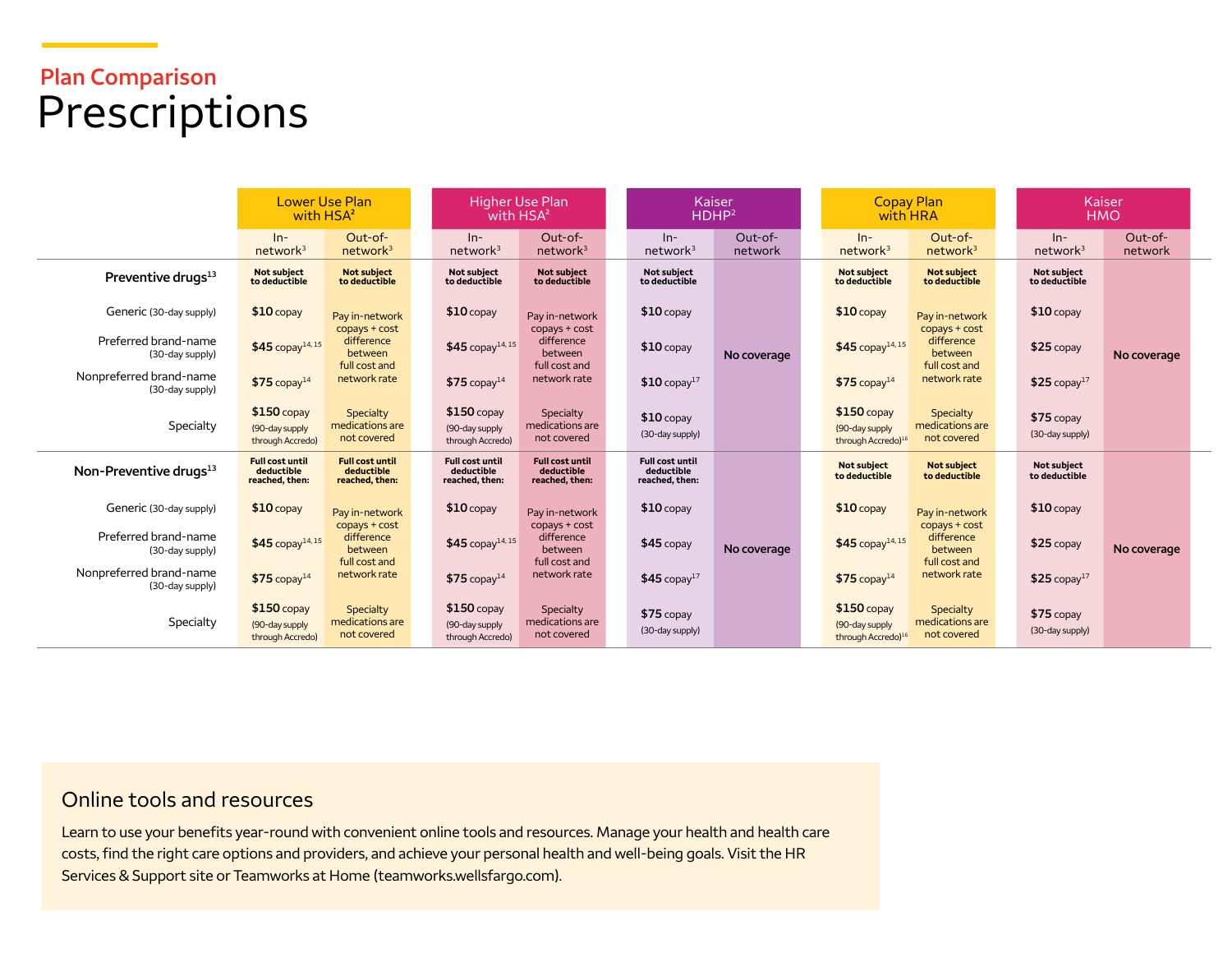## **Plan Comparison**  Prescriptions

|                                            | <b>Lower Use Plan</b><br>with HSA <sup>2</sup>         |                                                        | with HSA <sup>2</sup>                                  | Higher Use Plan                                        | <b>Kaiser</b><br>HDHP <sup>2</sup>                     | <b>Copay Plan</b><br>with HRA |                                                                   | Kaiser<br><b>HMO</b>                          |                                |                    |
|--------------------------------------------|--------------------------------------------------------|--------------------------------------------------------|--------------------------------------------------------|--------------------------------------------------------|--------------------------------------------------------|-------------------------------|-------------------------------------------------------------------|-----------------------------------------------|--------------------------------|--------------------|
|                                            | $ln-$<br>network <sup>3</sup>                          | Out-of-<br>network <sup>3</sup>                        | $ln-$<br>network <sup>3</sup>                          | $Out-of-$<br>network <sup>3</sup>                      | $In-$<br>network <sup>3</sup>                          | $Out-of-$<br>network          | $In-$<br>network <sup>3</sup>                                     | Out-of-<br>network <sup>3</sup>               | $ln-$<br>network <sup>3</sup>  | Out-of-<br>network |
| Preventive drugs <sup>13</sup>             | <b>Not subject</b><br>to deductible                    | <b>Not subject</b><br>to deductible                    | <b>Not subiect</b><br>to deductible                    | Not subject<br>to deductible                           | <b>Not subiect</b><br>to deductible                    |                               | <b>Not subject</b><br>to deductible                               | <b>Not subject</b><br>to deductible           | Not subject<br>to deductible   |                    |
| Generic (30-day supply)                    | $$10$ copay                                            | Pay in-network                                         | $$10$ copay                                            | Pay in-network                                         | $$10$ copay                                            |                               | $$10$ copay                                                       | Pay in-network                                | $$10$ copay                    |                    |
| Preferred brand-name<br>(30-day supply)    | $$45$ copay <sup>14,15</sup>                           | copays + cost<br>difference<br>between                 | $$45$ copay <sup>14,15</sup>                           | copays + cost<br>difference<br>between                 | $$10$ copay                                            | No coverage                   | $$45$ copay <sup>14,15</sup>                                      | copays + cost<br>difference<br>between        | $$25$ copay                    | No coverage        |
| Nonpreferred brand-name<br>(30-day supply) | $$75$ copay <sup>14</sup>                              | full cost and<br>network rate                          | $$75$ copay <sup>14</sup>                              | full cost and<br>network rate                          | $$10$ copay <sup>17</sup>                              |                               | $$75$ copay <sup>14</sup>                                         | full cost and<br>network rate                 | $$25$ copay <sup>17</sup>      |                    |
| Specialty                                  | $$150$ copay<br>(90-day supply<br>through Accredo)     | Specialty<br>medications are<br>not covered            | $$150$ copay<br>(90-day supply<br>through Accredo)     | Specialty<br>medications are<br>not covered            | $$10$ copay<br>(30-day supply)                         |                               | $$150$ copay<br>(90-day supply<br>through Accredo) <sup>16</sup>  | Specialty<br>medications are<br>not covered   | $$75$ copay<br>(30-day supply) |                    |
| Non-Preventive drugs <sup>13</sup>         | <b>Full cost until</b><br>deductible<br>reached, then: | <b>Full cost until</b><br>deductible<br>reached, then: | <b>Full cost until</b><br>deductible<br>reached, then: | <b>Full cost until</b><br>deductible<br>reached, then: | <b>Full cost until</b><br>deductible<br>reached, then: |                               | <b>Not subject</b><br>to deductible                               | <b>Not subject</b><br>to deductible           | Not subject<br>to deductible   |                    |
| Generic (30-day supply)                    | $$10$ copay                                            | Pay in-network                                         | $$10$ copay                                            | Pay in-network                                         | $$10$ copay                                            |                               | $$10$ copay                                                       | Pay in-network                                | $$10$ copay                    |                    |
| Preferred brand-name<br>(30-day supply)    | \$45 copay <sup>14,15</sup>                            | copays + cost<br>difference<br>between                 | $$45$ copay <sup>14,15</sup>                           | copays + cost<br>difference<br>between                 | $$45$ copay                                            | No coverage                   | $$45$ copay <sup>14,15</sup>                                      | copays + cost<br>difference<br><b>between</b> | $$25$ copay                    | No coverage        |
| Nonpreferred brand-name<br>(30-day supply) | $$75$ copay <sup>14</sup>                              | full cost and<br>network rate                          | $$75$ copay <sup>14</sup>                              | full cost and<br>network rate                          | $$45$ copay <sup>17</sup>                              |                               | $$75$ copay <sup>14</sup>                                         | full cost and<br>network rate                 | $$25$ copay <sup>17</sup>      |                    |
| Specialty                                  | $$150$ copay<br>(90-day supply)<br>through Accredo)    | Specialty<br>medications are<br>not covered            | $$150$ copay<br>(90-day supply<br>through Accredo)     | Specialty<br>medications are<br>not covered            | $$75$ copay<br>(30-day supply)                         |                               | $$150$ copay<br>(90-day supply)<br>through Accredo) <sup>16</sup> | Specialty<br>medications are<br>not covered   | $$75$ copay<br>(30-day supply) |                    |

#### Online tools and resources

Learn to use your benefits year-round with convenient online tools and resources. Manage your health and health care costs, find the right care options and providers, and achieve your personal health and well-being goals. Visit the HR Services & Support site or Teamworks at Home [\(teamworks.wellsfargo.com\)](http://www.teamworks.wellsfargo.com).